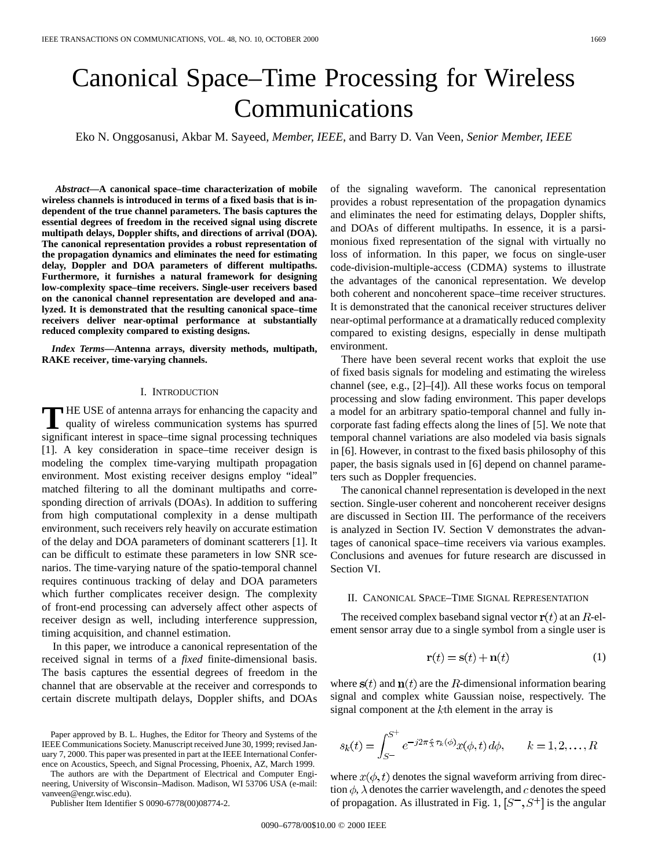# Canonical Space–Time Processing for Wireless Communications

Eko N. Onggosanusi, Akbar M. Sayeed*, Member, IEEE*, and Barry D. Van Veen*, Senior Member, IEEE*

*Abstract—***A canonical space–time characterization of mobile wireless channels is introduced in terms of a fixed basis that is independent of the true channel parameters. The basis captures the essential degrees of freedom in the received signal using discrete multipath delays, Doppler shifts, and directions of arrival (DOA). The canonical representation provides a robust representation of the propagation dynamics and eliminates the need for estimating delay, Doppler and DOA parameters of different multipaths. Furthermore, it furnishes a natural framework for designing low-complexity space–time receivers. Single-user receivers based on the canonical channel representation are developed and analyzed. It is demonstrated that the resulting canonical space–time receivers deliver near-optimal performance at substantially reduced complexity compared to existing designs.**

*Index Terms—***Antenna arrays, diversity methods, multipath, RAKE receiver, time-varying channels.**

## I. INTRODUCTION

**T** HE USE of antenna arrays for enhancing the capacity and quality of wireless communication systems has spurred significant interest in space–time signal processing techniques [1]. A key consideration in space–time receiver design is modeling the complex time-varying multipath propagation environment. Most existing receiver designs employ "ideal" matched filtering to all the dominant multipaths and corresponding direction of arrivals (DOAs). In addition to suffering from high computational complexity in a dense multipath environment, such receivers rely heavily on accurate estimation of the delay and DOA parameters of dominant scatterers [1]. It can be difficult to estimate these parameters in low SNR scenarios. The time-varying nature of the spatio-temporal channel requires continuous tracking of delay and DOA parameters which further complicates receiver design. The complexity of front-end processing can adversely affect other aspects of receiver design as well, including interference suppression, timing acquisition, and channel estimation.

In this paper, we introduce a canonical representation of the received signal in terms of a *fixed* finite-dimensional basis. The basis captures the essential degrees of freedom in the channel that are observable at the receiver and corresponds to certain discrete multipath delays, Doppler shifts, and DOAs

The authors are with the Department of Electrical and Computer Engineering, University of Wisconsin–Madison. Madison, WI 53706 USA (e-mail: vanveen@engr.wisc.edu).

Publisher Item Identifier S 0090-6778(00)08774-2.

of the signaling waveform. The canonical representation provides a robust representation of the propagation dynamics and eliminates the need for estimating delays, Doppler shifts, and DOAs of different multipaths. In essence, it is a parsimonious fixed representation of the signal with virtually no loss of information. In this paper, we focus on single-user code-division-multiple-access (CDMA) systems to illustrate the advantages of the canonical representation. We develop both coherent and noncoherent space–time receiver structures. It is demonstrated that the canonical receiver structures deliver near-optimal performance at a dramatically reduced complexity compared to existing designs, especially in dense multipath environment.

There have been several recent works that exploit the use of fixed basis signals for modeling and estimating the wireless channel (see, e.g., [2]–[4]). All these works focus on temporal processing and slow fading environment. This paper develops a model for an arbitrary spatio-temporal channel and fully incorporate fast fading effects along the lines of [5]. We note that temporal channel variations are also modeled via basis signals in [6]. However, in contrast to the fixed basis philosophy of this paper, the basis signals used in [6] depend on channel parameters such as Doppler frequencies.

The canonical channel representation is developed in the next section. Single-user coherent and noncoherent receiver designs are discussed in Section III. The performance of the receivers is analyzed in Section IV. Section V demonstrates the advantages of canonical space–time receivers via various examples. Conclusions and avenues for future research are discussed in Section VI.

#### II. CANONICAL SPACE–TIME SIGNAL REPRESENTATION

The received complex baseband signal vector  $r(t)$  at an  $R$ -element sensor array due to a single symbol from a single user is

$$
\mathbf{r}(t) = \mathbf{s}(t) + \mathbf{n}(t) \tag{1}
$$

where  $s(t)$  and  $n(t)$  are the R-dimensional information bearing signal and complex white Gaussian noise, respectively. The signal component at the  $k$ th element in the array is

$$
s_k(t) = \int_{S^-}^{S^+} e^{-j2\pi \frac{\epsilon}{\lambda} \tau_k(\phi)} x(\phi, t) \, d\phi, \qquad k = 1, 2, \dots, R
$$

where  $x(\phi, t)$  denotes the signal waveform arriving from direction  $\phi$ ,  $\lambda$  denotes the carrier wavelength, and c denotes the speed of propagation. As illustrated in Fig. 1,  $[S^-, S^+]$  is the angular

Paper approved by B. L. Hughes, the Editor for Theory and Systems of the IEEE Communications Society. Manuscript received June 30, 1999; revised January 7, 2000. This paper was presented in part at the IEEE International Conference on Acoustics, Speech, and Signal Processing, Phoenix, AZ, March 1999.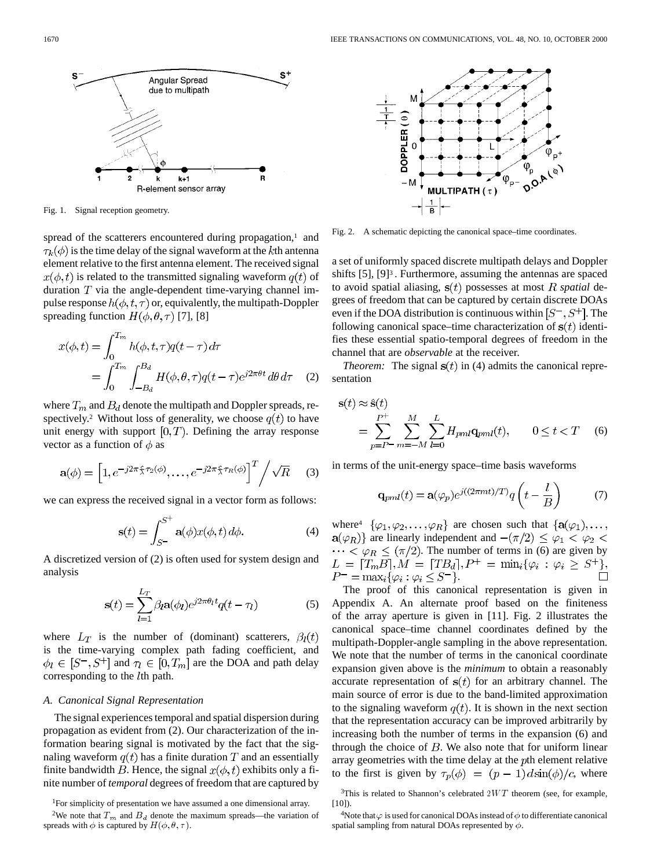

Fig. 1. Signal reception geometry.

spread of the scatterers encountered during propagation,<sup>1</sup> and  $\tau_k(\phi)$  is the time delay of the signal waveform at the kth antenna element relative to the first antenna element. The received signal  $x(\phi, t)$  is related to the transmitted signaling waveform  $q(t)$  of duration  $T$  via the angle-dependent time-varying channel impulse response  $h(\phi, t, \tau)$  or, equivalently, the multipath-Doppler spreading function  $H(\phi, \theta, \tau)$  [7], [8]

$$
x(\phi, t) = \int_0^{T_m} h(\phi, t, \tau) q(t - \tau) d\tau
$$
  
= 
$$
\int_0^{T_m} \int_{-B_d}^{B_d} H(\phi, \theta, \tau) q(t - \tau) e^{j2\pi \theta t} d\theta d\tau
$$
 (2)

where  $T_m$  and  $B_d$  denote the multipath and Doppler spreads, respectively.<sup>2</sup> Without loss of generality, we choose  $q(t)$  to have unit energy with support  $[0, T)$ . Defining the array response vector as a function of  $\phi$  as

$$
\mathbf{a}(\phi) = \left[1, e^{-j2\pi \frac{c}{\lambda}\tau_2(\phi)}, \dots, e^{-j2\pi \frac{c}{\lambda}\tau_R(\phi)}\right]^T \bigg/ \sqrt{R} \tag{3}
$$

we can express the received signal in a vector form as follows:

$$
\mathbf{s}(t) = \int_{S^-}^{S^+} \mathbf{a}(\phi) x(\phi, t) \, d\phi. \tag{4}
$$

A discretized version of (2) is often used for system design and analysis

$$
\mathbf{s}(t) = \sum_{l=1}^{L_T} \beta_l \mathbf{a}(\phi_l) e^{j2\pi \theta_l t} q(t - \tau)
$$
 (5)

where  $L_T$  is the number of (dominant) scatterers,  $\beta_l(t)$ is the time-varying complex path fading coefficient, and  $\phi_l \in [S^-, S^+]$  and  $\tau_l \in [0, T_m]$  are the DOA and path delay corresponding to the  $l$ th path.

# *A. Canonical Signal Representation*

The signal experiences temporal and spatial dispersion during propagation as evident from (2). Our characterization of the information bearing signal is motivated by the fact that the signaling waveform  $q(t)$  has a finite duration T and an essentially finite bandwidth B. Hence, the signal  $x(\phi, t)$  exhibits only a finite number of *temporal* degrees of freedom that are captured by



Fig. 2. A schematic depicting the canonical space–time coordinates.

a set of uniformly spaced discrete multipath delays and Doppler shifts [5], [9]<sup>3</sup>. Furthermore, assuming the antennas are spaced to avoid spatial aliasing,  $s(t)$  possesses at most *R* spatial degrees of freedom that can be captured by certain discrete DOAs even if the DOA distribution is continuous within  $[S^-, S^+]$ . The following canonical space–time characterization of  $s(t)$  identifies these essential spatio-temporal degrees of freedom in the channel that are *observable* at the receiver.

*Theorem:* The signal  $s(t)$  in (4) admits the canonical representation

$$
\mathbf{s}(t) \approx \hat{\mathbf{s}}(t)
$$
  
= 
$$
\sum_{p=P^{-}}^{P^{+}} \sum_{m=-M}^{M} \sum_{l=0}^{L} H_{pml} \mathbf{q}_{pml}(t), \qquad 0 \le t < T \quad (6)
$$

in terms of the unit-energy space–time basis waveforms

$$
\mathbf{q}_{pml}(t) = \mathbf{a}(\varphi_p)e^{j((2\pi mt)/T)}q\left(t - \frac{l}{B}\right) \tag{7}
$$

where<sup>4</sup>  $\{\varphi_1, \varphi_2, \dots, \varphi_R\}$  are chosen such that  $\{a(\varphi_1), \dots, a(\varphi_k)\}$  $a(\varphi_R)$ } are linearly independent and  $-(\pi/2) \leq \varphi_1 < \varphi_2$  $\cdots < \varphi_R \leq (\pi/2)$ . The number of terms in (6) are given by  $L = [T_m B]$ ,  $M = [T B_d]$ ,  $P^+ = \min_i {\varphi_i : \varphi_i \geq S^+}$ ,  $P^- = \max_i {\{\varphi_i : \varphi_i \leq S^-\}}.$ 

The proof of this canonical representation is given in Appendix A. An alternate proof based on the finiteness of the array aperture is given in [11]. Fig. 2 illustrates the canonical space–time channel coordinates defined by the multipath-Doppler-angle sampling in the above representation. We note that the number of terms in the canonical coordinate expansion given above is the *minimum* to obtain a reasonably accurate representation of  $s(t)$  for an arbitrary channel. The main source of error is due to the band-limited approximation to the signaling waveform  $q(t)$ . It is shown in the next section that the representation accuracy can be improved arbitrarily by increasing both the number of terms in the expansion (6) and through the choice of  $B$ . We also note that for uniform linear array geometries with the time delay at the pth element relative to the first is given by  $\tau_p(\phi) = (p-1) d \sin(\phi)/c$ , where

<sup>&</sup>lt;sup>1</sup>For simplicity of presentation we have assumed a one dimensional array.

<sup>&</sup>lt;sup>2</sup>We note that  $T_m$  and  $B_d$  denote the maximum spreads—the variation of spreads with  $\phi$  is captured by  $H(\phi, \theta, \tau)$ .

<sup>&</sup>lt;sup>3</sup>This is related to Shannon's celebrated  $2WT$  theorem (see, for example,  $[10]$ ).

<sup>&</sup>lt;sup>4</sup>Note that  $\varphi$  is used for canonical DOAs instead of  $\phi$  to differentiate canonical spatial sampling from natural DOAs represented by  $\phi$ .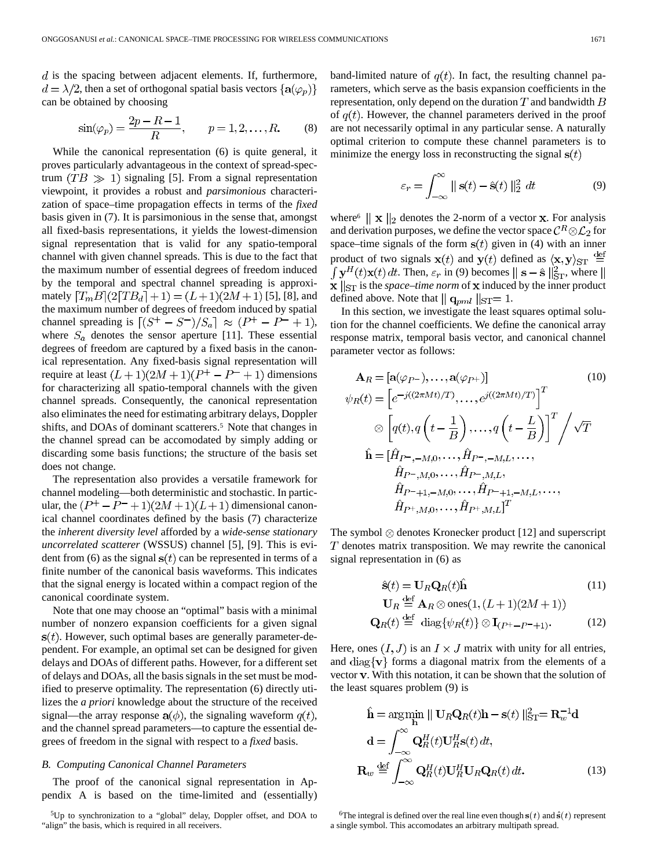$d$  is the spacing between adjacent elements. If, furthermore,  $d = \lambda/2$ , then a set of orthogonal spatial basis vectors  $\{a(\varphi_n)\}$ can be obtained by choosing

$$
\sin(\varphi_p) = \frac{2p - R - 1}{R}, \qquad p = 1, 2, ..., R.
$$
 (8)

While the canonical representation (6) is quite general, it proves particularly advantageous in the context of spread-spectrum  $(TB \gg 1)$  signaling [5]. From a signal representation viewpoint, it provides a robust and *parsimonious* characterization of space–time propagation effects in terms of the *fixed* basis given in (7). It is parsimonious in the sense that, amongst all fixed-basis representations, it yields the lowest-dimension signal representation that is valid for any spatio-temporal channel with given channel spreads. This is due to the fact that the maximum number of essential degrees of freedom induced by the temporal and spectral channel spreading is approximately  $[T_mB](2[TB_d]+1) = (L+1)(2M+1)$  [5], [8], and the maximum number of degrees of freedom induced by spatial channel spreading is  $[(S^+ - S^-)/S_a] \approx (P^+ - P^- + 1)$ , where  $S_a$  denotes the sensor aperture [11]. These essential degrees of freedom are captured by a fixed basis in the canonical representation. Any fixed-basis signal representation will require at least  $(L+1)(2M+1)(P^+ - P^- + 1)$  dimensions for characterizing all spatio-temporal channels with the given channel spreads. Consequently, the canonical representation also eliminates the need for estimating arbitrary delays, Doppler shifts, and DOAs of dominant scatterers.<sup>5</sup> Note that changes in the channel spread can be accomodated by simply adding or discarding some basis functions; the structure of the basis set does not change.

The representation also provides a versatile framework for channel modeling—both deterministic and stochastic. In particular, the  $(P^+ - P^- + 1)(2M + 1)(L+1)$  dimensional canonical channel coordinates defined by the basis (7) characterize the *inherent diversity level* afforded by a *wide-sense stationary uncorrelated scatterer* (WSSUS) channel [5], [9]. This is evident from (6) as the signal  $s(t)$  can be represented in terms of a finite number of the canonical basis waveforms. This indicates that the signal energy is located within a compact region of the canonical coordinate system.

Note that one may choose an "optimal" basis with a minimal number of nonzero expansion coefficients for a given signal  $s(t)$ . However, such optimal bases are generally parameter-dependent. For example, an optimal set can be designed for given delays and DOAs of different paths. However, for a different set of delays and DOAs, all the basis signals in the set must be modified to preserve optimality. The representation (6) directly utilizes the *a priori* knowledge about the structure of the received signal—the array response  $a(\phi)$ , the signaling waveform  $q(t)$ , and the channel spread parameters—to capture the essential degrees of freedom in the signal with respect to a *fixed* basis.

# *B. Computing Canonical Channel Parameters*

The proof of the canonical signal representation in Appendix A is based on the time-limited and (essentially) band-limited nature of  $q(t)$ . In fact, the resulting channel parameters, which serve as the basis expansion coefficients in the representation, only depend on the duration  $T$  and bandwidth  $B$ of  $q(t)$ . However, the channel parameters derived in the proof are not necessarily optimal in any particular sense. A naturally optimal criterion to compute these channel parameters is to minimize the energy loss in reconstructing the signal  $s(t)$ 

$$
\varepsilon_r = \int_{-\infty}^{\infty} ||\mathbf{s}(t) - \hat{\mathbf{s}}(t)||_2^2 dt \tag{9}
$$

where<sup>6</sup>  $\|\mathbf{x}\|_2$  denotes the 2-norm of a vector **x**. For analysis and derivation purposes, we define the vector space  $\mathcal{C}^R \otimes \mathcal{L}_2$  for space–time signals of the form  $s(t)$  given in (4) with an inner product of two signals  $\mathbf{x}(t)$  and  $\mathbf{y}(t)$  defined as  $\langle \mathbf{x}, \mathbf{y} \rangle_{\text{ST}} \stackrel{\text{def}}{=}$  $\int \mathbf{y}^H(t)\mathbf{x}(t) dt$ . Then,  $\varepsilon_r$  in (9) becomes  $\|\mathbf{s} - \hat{\mathbf{s}}\|^2_{\text{ST}}$ , where  $\|\mathbf{s}\|$  $\mathbf{x}$   $\|_{\text{ST}}$  is the *space–time norm* of  $\mathbf{x}$  induced by the inner product defined above. Note that  $\|$  q<sub>pml</sub>  $\|$ <sub>ST</sub>= 1.

In this section, we investigate the least squares optimal solution for the channel coefficients. We define the canonical array response matrix, temporal basis vector, and canonical channel parameter vector as follows:

$$
\mathbf{A}_{R} = [\mathbf{a}(\varphi_{P^{-}}), \dots, \mathbf{a}(\varphi_{P^{+}})] \qquad (10)
$$
\n
$$
\psi_{R}(t) = \left[ e^{-j((2\pi Mt)/T)}, \dots, e^{j((2\pi Mt)/T)} \right]^{T}
$$
\n
$$
\otimes \left[ q(t), q\left( t - \frac{1}{B} \right), \dots, q\left( t - \frac{L}{B} \right) \right]^{T} / \sqrt{T}
$$
\n
$$
\hat{\mathbf{h}} = \left[ \hat{H}_{P^{-}, -M, 0}, \dots, \hat{H}_{P^{-}, -M, L}, \dots, \hat{H}_{P^{-}, M, L}, \dots, \hat{H}_{P^{-} + 1, -M, 0}, \dots, \hat{H}_{P^{+}, M, 0}, \dots, \hat{H}_{P^{+}, M, L} \right]^{T}
$$
\n(10)

The symbol  $\otimes$  denotes Kronecker product [12] and superscript  $T$  denotes matrix transposition. We may rewrite the canonical signal representation in (6) as

$$
\hat{\mathbf{s}}(t) = \mathbf{U}_R \mathbf{Q}_R(t) \hat{\mathbf{h}} \tag{11}
$$
\n
$$
\mathbf{U}_R \stackrel{\text{def}}{=} \mathbf{A}_R \otimes \text{ones}(1, (L+1)(2M+1))
$$

$$
\mathbf{Q}_R(t) \stackrel{\text{def}}{=} \text{diag}\{\psi_R(t)\} \otimes \mathbf{I}_{(P^+ - P^- + 1)}.
$$
 (12)

Here, ones  $(I, J)$  is an  $I \times J$  matrix with unity for all entries, and diag $\{v\}$  forms a diagonal matrix from the elements of a vector  $v$ . With this notation, it can be shown that the solution of the least squares problem (9) is

$$
\hat{\mathbf{h}} = \arg\min_{\mathbf{h}} \|\mathbf{U}_{R}\mathbf{Q}_{R}(t)\mathbf{h} - \mathbf{s}(t)\|_{\text{ST}}^{2} = \mathbf{R}_{w}^{-1}\mathbf{d}
$$

$$
\mathbf{d} = \int_{-\infty}^{\infty} \mathbf{Q}_{R}^{H}(t)\mathbf{U}_{R}^{H}\mathbf{s}(t) dt,
$$

$$
\mathbf{R}_{w} \stackrel{\text{def}}{=} \int_{-\infty}^{\infty} \mathbf{Q}_{R}^{H}(t)\mathbf{U}_{R}^{H}\mathbf{U}_{R}\mathbf{Q}_{R}(t) dt.
$$
(13)

<sup>6</sup>The integral is defined over the real line even though  $s(t)$  and  $\hat{s}(t)$  represent a single symbol. This accomodates an arbitrary multipath spread.

<sup>5</sup>Up to synchronization to a "global" delay, Doppler offset, and DOA to "align" the basis, which is required in all receivers.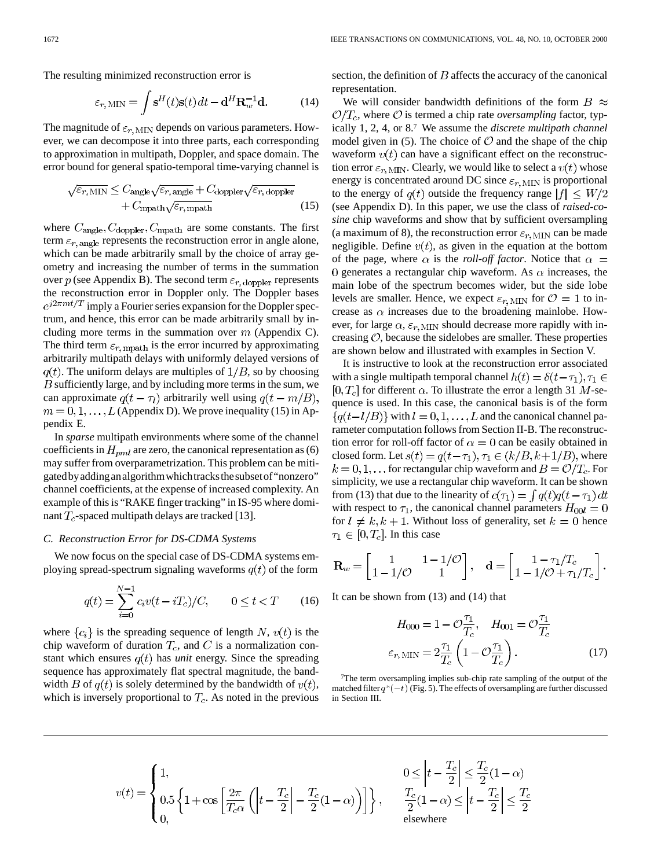The resulting minimized reconstruction error is

$$
\varepsilon_{r,\,\text{MIN}} = \int \mathbf{s}^H(t)\mathbf{s}(t) dt - \mathbf{d}^H \mathbf{R}_w^{-1} \mathbf{d}.
$$
 (14)

The magnitude of  $\varepsilon_{r, \text{MIN}}$  depends on various parameters. However, we can decompose it into three parts, each corresponding to approximation in multipath, Doppler, and space domain. The error bound for general spatio-temporal time-varying channel is

$$
\sqrt{\varepsilon_{r,\,\text{MIN}}} \leq C_{\text{angle}} \sqrt{\varepsilon_{r,\,\text{angle}}} + C_{\text{doppler}} \sqrt{\varepsilon_{r,\,\text{doppler}}} + C_{\text{mpath}} \sqrt{\varepsilon_{r,\,\text{mpath}}} \tag{15}
$$

where  $C_{\text{angle}}$ ,  $C_{\text{doppler}}$ ,  $C_{\text{mpath}}$  are some constants. The first term  $\varepsilon_{r,\text{angle}}$  represents the reconstruction error in angle alone, which can be made arbitrarily small by the choice of array geometry and increasing the number of terms in the summation over  $p$  (see Appendix B). The second term  $\varepsilon_{r,\text{doppler}}$  represents the reconstruction error in Doppler only. The Doppler bases  $e^{j2\pi mt/T}$  imply a Fourier series expansion for the Doppler spectrum, and hence, this error can be made arbitrarily small by including more terms in the summation over  $m$  (Appendix C). The third term  $\varepsilon_{r,\text{mpath}}$  is the error incurred by approximating arbitrarily multipath delays with uniformly delayed versions of  $q(t)$ . The uniform delays are multiples of  $1/B$ , so by choosing  $B$  sufficiently large, and by including more terms in the sum, we can approximate  $q(t - \tau_l)$  arbitrarily well using  $q(t - m/B)$ ,  $m = 0, 1, \ldots, L$  (Appendix D). We prove inequality (15) in Appendix E.

In *sparse* multipath environments where some of the channel coefficients in  $H_{pml}$  are zero, the canonical representation as (6) may suffer from overparametrization. This problem can be mitigatedbyaddinganalgorithmwhichtracksthesubsetof"nonzero" channel coefficients, at the expense of increased complexity. An example of this is "RAKE finger tracking" in IS-95 where dominant  $T_c$ -spaced multipath delays are tracked [13].

## *C. Reconstruction Error for DS-CDMA Systems*

We now focus on the special case of DS-CDMA systems employing spread-spectrum signaling waveforms  $q(t)$  of the form

$$
q(t) = \sum_{i=0}^{N-1} c_i v(t - iT_c) / C, \qquad 0 \le t < T \qquad (16)
$$

where  $\{c_i\}$  is the spreading sequence of length N,  $v(t)$  is the chip waveform of duration  $T_c$ , and C is a normalization constant which ensures  $q(t)$  has *unit* energy. Since the spreading sequence has approximately flat spectral magnitude, the bandwidth B of  $q(t)$  is solely determined by the bandwidth of  $v(t)$ , which is inversely proportional to  $T_c$ . As noted in the previous section, the definition of  $B$  affects the accuracy of the canonical representation.

We will consider bandwidth definitions of the form  $B \approx$  $\mathcal{O}/T_c$ , where  $\mathcal O$  is termed a chip rate *oversampling* factor, typically 1, 2, 4, or 8.7 We assume the *discrete multipath channel* model given in (5). The choice of  $\mathcal O$  and the shape of the chip waveform  $v(t)$  can have a significant effect on the reconstruction error  $\varepsilon_{r, \text{MIN}}$ . Clearly, we would like to select a  $v(t)$  whose energy is concentrated around DC since  $\varepsilon_{r, \text{MIN}}$  is proportional to the energy of  $q(t)$  outside the frequency range  $|f| \leq W/2$ (see Appendix D). In this paper, we use the class of *raised-cosine* chip waveforms and show that by sufficient oversampling (a maximum of 8), the reconstruction error  $\varepsilon_{r, \text{MIN}}$  can be made negligible. Define  $v(t)$ , as given in the equation at the bottom of the page, where  $\alpha$  is the *roll-off factor*. Notice that  $\alpha$  = 0 generates a rectangular chip waveform. As  $\alpha$  increases, the main lobe of the spectrum becomes wider, but the side lobe levels are smaller. Hence, we expect  $\varepsilon_{r, \text{MIN}}$  for  $\mathcal{O} = 1$  to increase as  $\alpha$  increases due to the broadening mainlobe. However, for large  $\alpha$ ,  $\varepsilon$ <sub>r</sub>,  $_{\text{MIN}}$  should decrease more rapidly with increasing  $O$ , because the sidelobes are smaller. These properties are shown below and illustrated with examples in Section V.

It is instructive to look at the reconstruction error associated with a single multipath temporal channel  $h(t) = \delta(t - \tau_1), \tau_1 \in$  $[0, T_c]$  for different  $\alpha$ . To illustrate the error a length 31 M-sequence is used. In this case, the canonical basis is of the form  $\{q(t-l/B)\}\$  with  $l=0,1,\ldots,L$  and the canonical channel parameter computation follows from Section II-B. The reconstruction error for roll-off factor of  $\alpha = 0$  can be easily obtained in closed form. Let  $s(t) = q(t - \tau_1), \tau_1 \in (k/B, k+1/B)$ , where  $k = 0, 1, \dots$  for rectangular chip waveform and  $B = \mathcal{O}/T_c$ . For simplicity, we use a rectangular chip waveform. It can be shown from (13) that due to the linearity of  $c(\tau_1) = \int q(t)q(t-\tau_1) dt$ with respect to  $\tau_1$ , the canonical channel parameters  $H_{00l} = 0$ for  $l \neq k, k + 1$ . Without loss of generality, set  $k = 0$  hence  $\tau_1 \in [0, T_c]$ . In this case

$$
\mathbf{R}_w = \begin{bmatrix} 1 & 1 - 1/\mathcal{O} \\ 1 - 1/\mathcal{O} & 1 \end{bmatrix}, \quad \mathbf{d} = \begin{bmatrix} 1 - \tau_1/T_c \\ 1 - 1/\mathcal{O} + \tau_1/T_c \end{bmatrix}.
$$

It can be shown from (13) and (14) that

$$
H_{000} = 1 - \mathcal{O}\frac{\tau_1}{T_c}, \quad H_{001} = \mathcal{O}\frac{\tau_1}{T_c}
$$

$$
\varepsilon_{r, \text{MIN}} = 2\frac{\tau_1}{T_c} \left(1 - \mathcal{O}\frac{\tau_1}{T_c}\right). \tag{17}
$$

7The term oversampling implies sub-chip rate sampling of the output of the matched filter  $q^*(-t)$  (Fig. 5). The effects of oversampling are further discussed in Section III.

$$
v(t) = \begin{cases} 1, \\ 0.5 \left\{ 1 + \cos \left[ \frac{2\pi}{T_c \alpha} \left( \left| t - \frac{T_c}{2} \right| - \frac{T_c}{2} (1 - \alpha) \right) \right] \right\} \\ 0, \end{cases}
$$

$$
0 \le \left| t - \frac{T_c}{2} \right| \le \frac{T_c}{2} (1 - \alpha)
$$
  

$$
\frac{T_c}{2} (1 - \alpha) \le \left| t - \frac{T_c}{2} \right| \le \frac{T_c}{2}
$$
  
elsewhere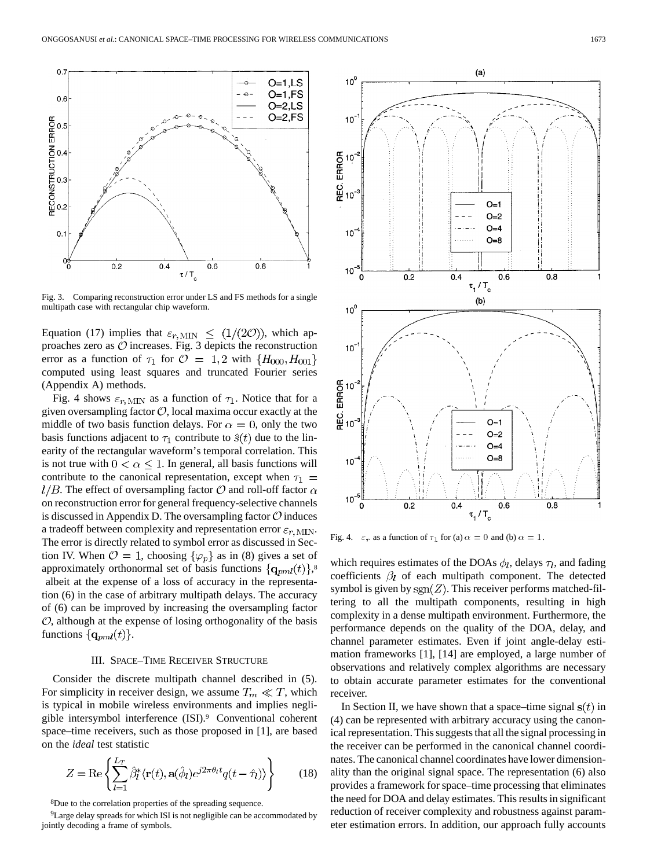

Fig. 3. Comparing reconstruction error under LS and FS methods for a single multipath case with rectangular chip waveform.

Equation (17) implies that  $\varepsilon_{r, \text{MIN}} \leq (1/(2\mathcal{O}))$ , which approaches zero as  $\mathcal O$  increases. Fig. 3 depicts the reconstruction error as a function of  $\tau_1$  for  $\mathcal{O} = 1,2$  with  $\{H_{000}, H_{001}\}$ computed using least squares and truncated Fourier series (Appendix A) methods.

Fig. 4 shows  $\varepsilon_{r, \text{MIN}}$  as a function of  $\tau_1$ . Notice that for a given oversampling factor  $O$ , local maxima occur exactly at the middle of two basis function delays. For  $\alpha = 0$ , only the two basis functions adjacent to  $\tau_1$  contribute to  $\hat{s}(t)$  due to the linearity of the rectangular waveform's temporal correlation. This is not true with  $0 < \alpha \leq 1$ . In general, all basis functions will contribute to the canonical representation, except when  $\tau_1$  $l/B$ . The effect of oversampling factor  $\mathcal O$  and roll-off factor  $\alpha$ on reconstruction error for general frequency-selective channels is discussed in Appendix D. The oversampling factor  $\mathcal O$  induces a tradeoff between complexity and representation error  $\varepsilon_{r,\text{MIN}}$ . The error is directly related to symbol error as discussed in Section IV. When  $\mathcal{O} = 1$ , choosing  $\{\varphi_p\}$  as in (8) gives a set of approximately orthonormal set of basis functions  $\{q_{pm}(t)\}\$ albeit at the expense of a loss of accuracy in the representation (6) in the case of arbitrary multipath delays. The accuracy of (6) can be improved by increasing the oversampling factor  $\mathcal{O}$ , although at the expense of losing orthogonality of the basis functions  $\{q_{pml}(t)\}.$ 

# III. SPACE–TIME RECEIVER STRUCTURE

Consider the discrete multipath channel described in (5). For simplicity in receiver design, we assume  $T_m \ll T$ , which is typical in mobile wireless environments and implies negligible intersymbol interference (ISI).9 Conventional coherent space–time receivers, such as those proposed in [1], are based on the *ideal* test statistic

$$
Z = \text{Re}\left\{\sum_{l=1}^{L_T} \hat{\beta}_l^* \langle \mathbf{r}(t), \mathbf{a}(\hat{\phi}_l)e^{j2\pi\theta_l t} q(t - \hat{\tau}_l) \rangle \right\}
$$
(18)

8Due to the correlation properties of the spreading sequence.

<sup>9</sup>Large delay spreads for which ISI is not negligible can be accommodated by jointly decoding a frame of symbols.



Fig. 4.  $\varepsilon_r$  as a function of  $\tau_1$  for (a)  $\alpha = 0$  and (b)  $\alpha = 1$ .

which requires estimates of the DOAs  $\phi_l$ , delays  $\tau_l$ , and fading coefficients  $\beta_l$  of each multipath component. The detected symbol is given by  $sgn(Z)$ . This receiver performs matched-filtering to all the multipath components, resulting in high complexity in a dense multipath environment. Furthermore, the performance depends on the quality of the DOA, delay, and channel parameter estimates. Even if joint angle-delay estimation frameworks [1], [14] are employed, a large number of observations and relatively complex algorithms are necessary to obtain accurate parameter estimates for the conventional receiver.

In Section II, we have shown that a space–time signal  $s(t)$  in (4) can be represented with arbitrary accuracy using the canonical representation. This suggests that all the signal processing in the receiver can be performed in the canonical channel coordinates. The canonical channel coordinates have lower dimensionality than the original signal space. The representation (6) also provides a framework for space–time processing that eliminates the need for DOA and delay estimates. This results in significant reduction of receiver complexity and robustness against parameter estimation errors. In addition, our approach fully accounts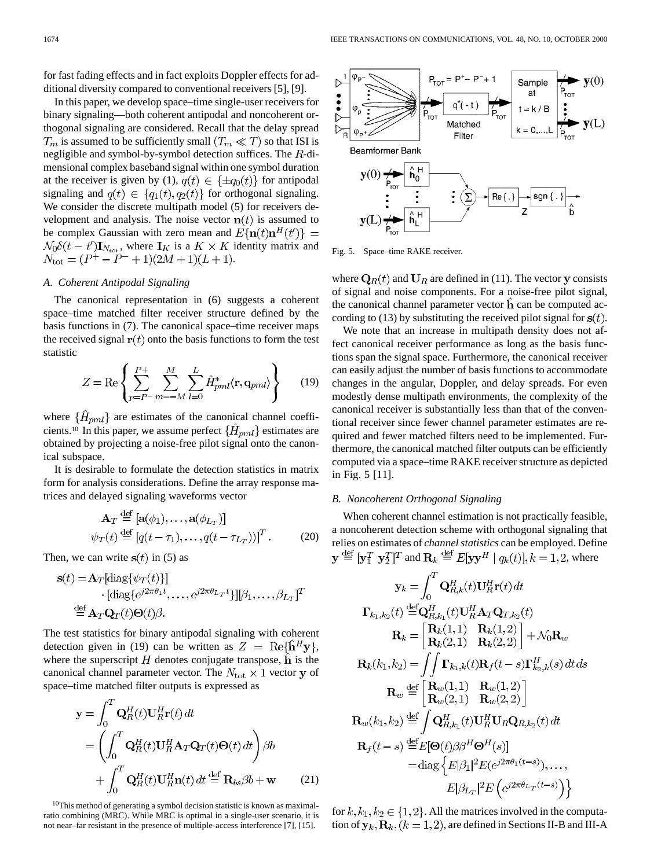for fast fading effects and in fact exploits Doppler effects for additional diversity compared to conventional receivers [5], [9].

In this paper, we develop space–time single-user receivers for binary signaling—both coherent antipodal and noncoherent orthogonal signaling are considered. Recall that the delay spread  $T_m$  is assumed to be sufficiently small  $(T_m \ll T)$  so that ISI is negligible and symbol-by-symbol detection suffices. The  $R$ -dimensional complex baseband signal within one symbol duration at the receiver is given by (1),  $q(t) \in {\pm q_0(t)}$  for antipodal signaling and  $q(t) \in \{q_1(t), q_2(t)\}\$ for orthogonal signaling. We consider the discrete multipath model (5) for receivers development and analysis. The noise vector  $\mathbf{n}(t)$  is assumed to be complex Gaussian with zero mean and  $E\{\mathbf{n}(t)\mathbf{n}^H(t')\} =$  $\mathcal{N}_0 \delta(t-t') \mathbf{I}_{N_{\text{tot}}}$ , where  $\mathbf{I}_K$  is a  $K \times K$  identity matrix and  $N_{\text{tot}} = (P^+ - P^- + 1)(2M + 1)(L + 1).$ 

# *A. Coherent Antipodal Signaling*

The canonical representation in (6) suggests a coherent space–time matched filter receiver structure defined by the basis functions in (7). The canonical space–time receiver maps the received signal  $r(t)$  onto the basis functions to form the test statistic

$$
Z = \text{Re}\left\{\sum_{p=P^-}^{P+} \sum_{m=-M}^{M} \sum_{l=0}^{L} \hat{H}_{pml}^* \langle \mathbf{r}, \mathbf{q}_{pml} \rangle \right\} \qquad (19)
$$

where  $\{\hat{H}_{pml}\}$  are estimates of the canonical channel coefficients.<sup>10</sup> In this paper, we assume perfect  $\{\hat{H}_{pml}\}$  estimates are obtained by projecting a noise-free pilot signal onto the canonical subspace.

It is desirable to formulate the detection statistics in matrix form for analysis considerations. Define the array response matrices and delayed signaling waveforms vector

$$
\mathbf{A}_T \stackrel{\text{def}}{=} [\mathbf{a}(\phi_1), \dots, \mathbf{a}(\phi_{L_T})] \n\psi_T(t) \stackrel{\text{def}}{=} [q(t - \tau_1), \dots, q(t - \tau_{L_T}))]^T.
$$
\n(20)

Then, we can write  $s(t)$  in (5) as

 $\mathbf{r}$ 

$$
\mathbf{s}(t) = \mathbf{A}_T[\text{diag}\{\psi_T(t)\}] \n\cdot [\text{diag}\{e^{j2\pi\theta_1 t}, \dots, e^{j2\pi\theta_{L_T} t}\}][\beta_1, \dots, \beta_{L_T}]^T \n\stackrel{\text{def}}{=} \mathbf{A}_T \mathbf{Q}_T(t) \Theta(t) \beta.
$$

The test statistics for binary antipodal signaling with coherent detection given in (19) can be written as  $Z = \text{Re}\{\hat{\mathbf{h}}^H \mathbf{y}\},\$ where the superscript  $H$  denotes conjugate transpose,  $\bf{h}$  is the canonical channel parameter vector. The  $N_{\text{tot}} \times 1$  vector y of space–time matched filter outputs is expressed as

$$
\mathbf{y} = \int_0^T \mathbf{Q}_R^H(t) \mathbf{U}_R^H \mathbf{r}(t) dt
$$
  
= 
$$
\left( \int_0^T \mathbf{Q}_R^H(t) \mathbf{U}_R^H \mathbf{A}_T \mathbf{Q}_T(t) \Theta(t) dt \right) \beta b
$$
  
+ 
$$
\int_0^T \mathbf{Q}_R^H(t) \mathbf{U}_R^H \mathbf{n}(t) dt \stackrel{\text{def}}{=} \mathbf{R}_{bs} \beta b + \mathbf{w} \qquad (21)
$$

10This method of generating a symbol decision statistic is known as maximalratio combining (MRC). While MRC is optimal in a single-user scenario, it is not near–far resistant in the presence of multiple-access interference [7], [15].



Fig. 5. Space–time RAKE receiver.

where  $\mathbf{Q}_R(t)$  and  $\mathbf{U}_R$  are defined in (11). The vector y consists of signal and noise components. For a noise-free pilot signal, the canonical channel parameter vector  $\mathbf h$  can be computed according to (13) by substituting the received pilot signal for  $s(t)$ .

We note that an increase in multipath density does not affect canonical receiver performance as long as the basis functions span the signal space. Furthermore, the canonical receiver can easily adjust the number of basis functions to accommodate changes in the angular, Doppler, and delay spreads. For even modestly dense multipath environments, the complexity of the canonical receiver is substantially less than that of the conventional receiver since fewer channel parameter estimates are required and fewer matched filters need to be implemented. Furthermore, the canonical matched filter outputs can be efficiently computed via a space–time RAKE receiver structure as depicted in Fig. 5 [11].

# *B. Noncoherent Orthogonal Signaling*

When coherent channel estimation is not practically feasible, a noncoherent detection scheme with orthogonal signaling that relies on estimates of *channel statistics* can be employed. Define  $\mathbf{y} \stackrel{\text{def}}{=} [\mathbf{y}_1^T \ \mathbf{y}_2^T]^T$  and  $\mathbf{R}_k \stackrel{\text{def}}{=} E[\mathbf{y}\mathbf{y}^H \mid q_k(t)], k = 1, 2$ , where

$$
\mathbf{y}_{k} = \int_{0}^{T} \mathbf{Q}_{R,k}^{H}(t) \mathbf{U}_{R}^{H} \mathbf{r}(t) dt
$$

$$
\mathbf{\Gamma}_{k_{1},k_{2}}(t) \stackrel{\text{def}}{=} \mathbf{Q}_{R,k_{1}}^{H}(t) \mathbf{U}_{R}^{H} \mathbf{A}_{T} \mathbf{Q}_{T,k_{2}}(t)
$$

$$
\mathbf{R}_{k} = \begin{bmatrix} \mathbf{R}_{k}(1,1) & \mathbf{R}_{k}(1,2) \\ \mathbf{R}_{k}(2,1) & \mathbf{R}_{k}(2,2) \end{bmatrix} + \mathcal{N}_{0} \mathbf{R}_{w}
$$

$$
\mathbf{R}_{k}(k_{1},k_{2}) = \iint \mathbf{\Gamma}_{k_{1},k}(t) \mathbf{R}_{f}(t-s) \mathbf{\Gamma}_{k_{2},k}^{H}(s) dt ds
$$

$$
\mathbf{R}_{w} \stackrel{\text{def}}{=} \begin{bmatrix} \mathbf{R}_{w}(1,1) & \mathbf{R}_{w}(1,2) \\ \mathbf{R}_{w}(2,1) & \mathbf{R}_{w}(2,2) \end{bmatrix}
$$

$$
\mathbf{R}_{w}(k_{1},k_{2}) \stackrel{\text{def}}{=} \int \mathbf{Q}_{R,k_{1}}^{H}(t) \mathbf{U}_{R}^{H} \mathbf{U}_{R} \mathbf{Q}_{R,k_{2}}(t) dt
$$

$$
\mathbf{R}_{f}(t-s) \stackrel{\text{def}}{=} E[\mathbf{\Theta}(t) \beta \beta^{H} \mathbf{\Theta}^{H}(s)]
$$

$$
= \text{diag} \{ E|\beta_{1}|^{2} E(e^{j2\pi \theta_{1}(t-s)}), \dots, E|\beta_{L_{T}}|^{2} E(e^{j2\pi \theta_{L_{T}}(t-s)}) \}
$$

for  $k, k_1, k_2 \in \{1, 2\}$ . All the matrices involved in the computation of  $y_k$ ,  $R_k$ ,  $(k = 1, 2)$ , are defined in Sections II-B and III-A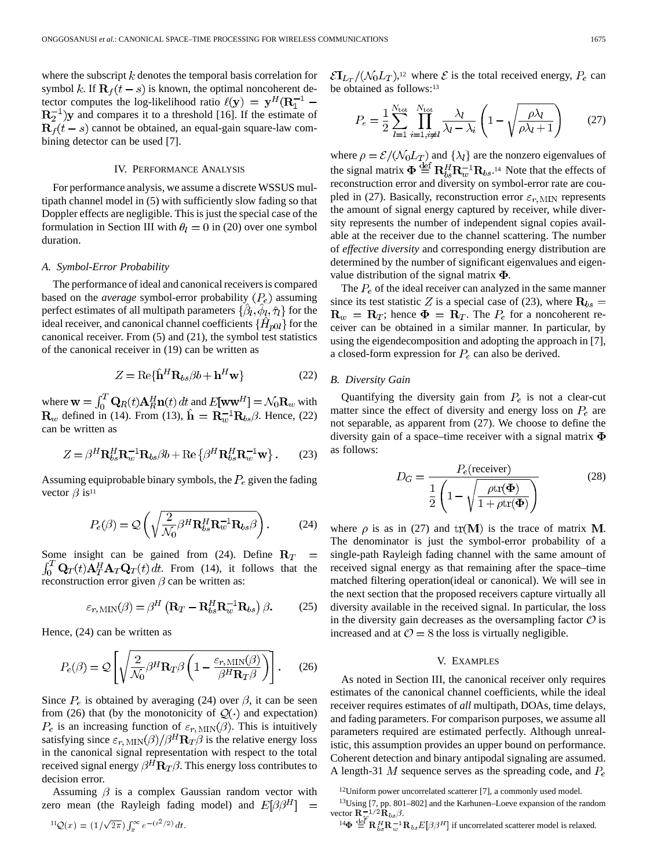where the subscript  $k$  denotes the temporal basis correlation for symbol k. If  $\mathbf{R}_f(t-s)$  is known, the optimal noncoherent detector computes the log-likelihood ratio  $\ell(\mathbf{y}) = \mathbf{y}^H(\mathbf{R}_1^{-1} \mathbb{R}^{-1}_2$ )y and compares it to a threshold [16]. If the estimate of  $\mathbf{R}_f(t-s)$  cannot be obtained, an equal-gain square-law combining detector can be used [7].

## IV. PERFORMANCE ANALYSIS

For performance analysis, we assume a discrete WSSUS multipath channel model in (5) with sufficiently slow fading so that Doppler effects are negligible. This is just the special case of the formulation in Section III with  $\theta_l = 0$  in (20) over one symbol duration.

## *A. Symbol-Error Probability*

The performance of ideal and canonical receivers is compared based on the *average* symbol-error probability  $(P_e)$  assuming perfect estimates of all multipath parameters  $\{\beta_l, \phi_l, \hat{\tau}_l\}$  for the ideal receiver, and canonical channel coefficients  $\{\hat{H}_{p0l}\}$  for the canonical receiver. From (5) and (21), the symbol test statistics of the canonical receiver in (19) can be written as

$$
Z = \text{Re}\{\hat{\mathbf{h}}^H \mathbf{R}_{bs} \beta b + \mathbf{h}^H \mathbf{w}\}\
$$
 (22)

where  $\mathbf{w} = \int_0^1 \mathbf{Q}_R(t) \mathbf{A}_R^H \mathbf{n}(t) dt$  and  $E[\mathbf{w}\mathbf{w}^H] = \mathcal{N}_0 \mathbf{R}_w$  with defined in (14). From (13),  $\mathbf{h} = \mathbf{R}_{w}^{-1} \mathbf{R}_{bs} \beta$ . Hence, (22) can be written as

$$
Z = \beta^H \mathbf{R}_{bs}^H \mathbf{R}_{w}^{-1} \mathbf{R}_{bs} \beta b + \text{Re}\left\{ \beta^H \mathbf{R}_{bs}^H \mathbf{R}_{w}^{-1} \mathbf{w} \right\}.
$$
 (23)

Assuming equiprobable binary symbols, the  $P_e$  given the fading vector  $\beta$  is<sup>11</sup>

$$
P_e(\beta) = \mathcal{Q}\left(\sqrt{\frac{2}{\mathcal{N}_0} \beta^H \mathbf{R}_{bs}^H \mathbf{R}_{w}^{-1} \mathbf{R}_{bs} \beta}\right).
$$
 (24)

Some insight can be gained from (24). Define  $R_T =$  $\int_0^T \mathbf{Q}_T(t) \mathbf{A}_T^H \mathbf{A}_T \mathbf{Q}_T(t) dt$ . From (14), it follows that the reconstruction error given  $\beta$  can be written as:

$$
\varepsilon_{r,\text{MIN}}(\beta) = \beta^H \left( \mathbf{R}_T - \mathbf{R}_{bs}^H \mathbf{R}_w^{-1} \mathbf{R}_{bs} \right) \beta. \tag{25}
$$

Hence, (24) can be written as

$$
P_e(\beta) = Q \left[ \sqrt{\frac{2}{\mathcal{N}_0} \beta^H \mathbf{R}_T \beta \left( 1 - \frac{\varepsilon_{r, \text{MIN}}(\beta)}{\beta^H \mathbf{R}_T \beta} \right)} \right].
$$
 (26)

Since  $P_e$  is obtained by averaging (24) over  $\beta$ , it can be seen from (26) that (by the monotonicity of  $Q(\cdot)$  and expectation)  $P_e$  is an increasing function of  $\varepsilon_{r, \text{MIN}}(\beta)$ . This is intuitively satisfying since  $\varepsilon_{r,\,\mathrm{MIN}}(\beta)/\beta^H\mathbf{R}_T\beta$  is the relative energy loss in the canonical signal representation with respect to the total received signal energy  $\beta^H \mathbf{R}_T \beta$ . This energy loss contributes to decision error.

Assuming  $\beta$  is a complex Gaussian random vector with zero mean (the Rayleigh fading model) and  $E[\beta \beta^H]$ 

$$
{}^{11}\mathcal{Q}(x) = (1/\sqrt{2\pi}) \int_x^{\infty} e^{-(t^2/2)} dt.
$$

 $\mathcal{E} \mathbf{I}_{L_T}/(\mathcal{N}_0 L_T)$ ,<sup>12</sup> where  $\mathcal E$  is the total received energy,  $P_e$  can be obtained as follows:13

$$
P_e = \frac{1}{2} \sum_{l=1}^{N_{\text{tot}}} \prod_{i=1, i \neq l}^{N_{\text{tot}}} \frac{\lambda_l}{\lambda_l - \lambda_i} \left( 1 - \sqrt{\frac{\rho \lambda_l}{\rho \lambda_l + 1}} \right) \tag{27}
$$

where  $\rho = \mathcal{E}/(\mathcal{N}_0 L_T)$  and  $\{\lambda_l\}$  are the nonzero eigenvalues of the signal matrix  $\boldsymbol{\Phi} \stackrel{\text{def}}{=} \mathbf{R}_{bs}^H \mathbf{R}_{w}^{-1} \mathbf{R}_{bs}$ .<sup>14</sup> Note that the effects of reconstruction error and diversity on symbol-error rate are coupled in (27). Basically, reconstruction error  $\varepsilon_{r,\text{MIN}}$  represents the amount of signal energy captured by receiver, while diversity represents the number of independent signal copies available at the receiver due to the channel scattering. The number of *effective diversity* and corresponding energy distribution are determined by the number of significant eigenvalues and eigenvalue distribution of the signal matrix  $\Phi$ .

The  $P_e$  of the ideal receiver can analyzed in the same manner since its test statistic Z is a special case of (23), where  $\mathbf{R}_{bs} =$  $\mathbf{R}_w = \mathbf{R}_T$ ; hence  $\mathbf{\Phi} = \mathbf{R}_T$ . The  $P_e$  for a noncoherent receiver can be obtained in a similar manner. In particular, by using the eigendecomposition and adopting the approach in [7], a closed-form expression for  $P_e$  can also be derived.

# *B. Diversity Gain*

Quantifying the diversity gain from  $P_e$  is not a clear-cut matter since the effect of diversity and energy loss on  $P_e$  are not separable, as apparent from (27). We choose to define the diversity gain of a space–time receiver with a signal matrix  $\Phi$ as follows:

$$
D_G = \frac{P_e(\text{receiver})}{\frac{1}{2} \left( 1 - \sqrt{\frac{\rho \text{tr}(\Phi)}{1 + \rho \text{tr}(\Phi)}} \right)}
$$
(28)

where  $\rho$  is as in (27) and  $tr(M)$  is the trace of matrix M. The denominator is just the symbol-error probability of a single-path Rayleigh fading channel with the same amount of received signal energy as that remaining after the space–time matched filtering operation(ideal or canonical). We will see in the next section that the proposed receivers capture virtually all diversity available in the received signal. In particular, the loss in the diversity gain decreases as the oversampling factor  $\mathcal O$  is increased and at  $\mathcal{O} = 8$  the loss is virtually negligible.

## V. EXAMPLES

As noted in Section III, the canonical receiver only requires estimates of the canonical channel coefficients, while the ideal receiver requires estimates of *all* multipath, DOAs, time delays, and fading parameters. For comparison purposes, we assume all parameters required are estimated perfectly. Although unrealistic, this assumption provides an upper bound on performance. Coherent detection and binary antipodal signaling are assumed. A length-31 M sequence serves as the spreading code, and  $P_e$ 

 $12$ Uniform power uncorrelated scatterer [7], a commonly used model.

<sup>13</sup>Using [7, pp. 801–802] and the Karhunen–Loeve expansion of the random vector  $\mathbf{R}_{w}^{-1/2} \mathbf{\hat{R}}_{bs} \beta$ .

 $14\Phi \stackrel{\text{def}}{=} \mathbf{R}_{bs}^H \mathbf{R}_{w}^{-1} \mathbf{R}_{bs} E[\beta \beta^H]$  if uncorrelated scatterer model is relaxed.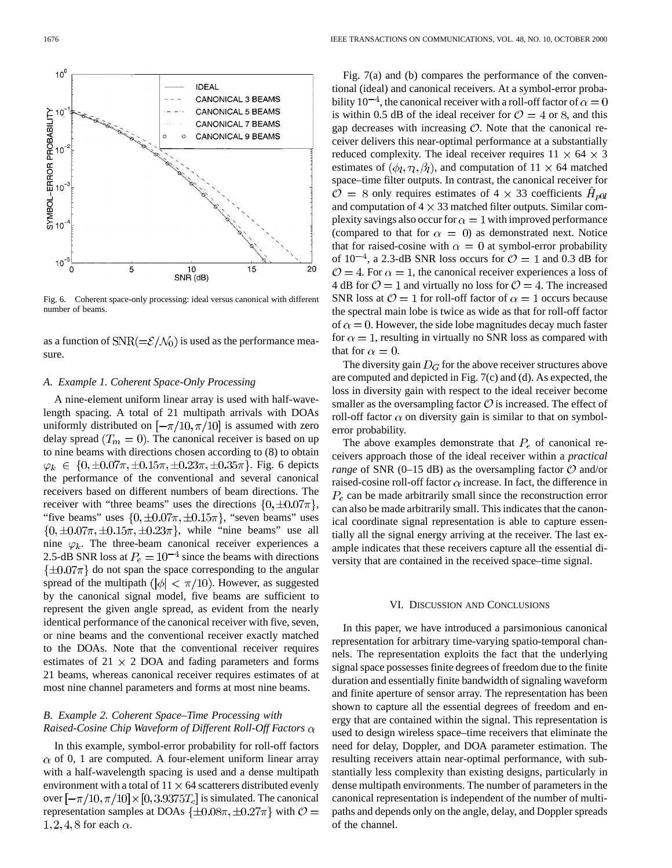

Fig. 6. Coherent space-only processing: ideal versus canonical with different number of beams.

as a function of  $SNR(=\mathcal{E}/\mathcal{N}_0)$  is used as the performance measure.

# *A. Example 1. Coherent Space-Only Processing*

A nine-element uniform linear array is used with half-wavelength spacing. A total of 21 multipath arrivals with DOAs uniformly distributed on  $\left[-\frac{\pi}{10}, \frac{\pi}{10}\right]$  is assumed with zero delay spread  $(T_m = 0)$ . The canonical receiver is based on up to nine beams with directions chosen according to (8) to obtain  $\varphi_k \in \{0, \pm 0.07\pi, \pm 0.15\pi, \pm 0.23\pi, \pm 0.35\pi\}.$  Fig. 6 depicts the performance of the conventional and several canonical receivers based on different numbers of beam directions. The receiver with "three beams" uses the directions  $\{0, \pm 0.07\pi\},\$ "five beams" uses  $\{0, \pm 0.07\pi, \pm 0.15\pi\}$ , "seven beams" uses  $\{0, \pm 0.07\pi, \pm 0.15\pi, \pm 0.23\pi\}$ , while "nine beams" use all nine  $\varphi_k$ . The three-beam canonical receiver experiences a 2.5-dB SNR loss at  $P_e = 10^{-4}$  since the beams with directions  $\{\pm 0.07\pi\}$  do not span the space corresponding to the angular spread of the multipath ( $|\phi| < \pi/10$ ). However, as suggested by the canonical signal model, five beams are sufficient to represent the given angle spread, as evident from the nearly identical performance of the canonical receiver with five, seven, or nine beams and the conventional receiver exactly matched to the DOAs. Note that the conventional receiver requires estimates of  $21 \times 2$  DOA and fading parameters and forms 21 beams, whereas canonical receiver requires estimates of at most nine channel parameters and forms at most nine beams.

# *B. Example 2. Coherent Space–Time Processing with Raised-Cosine Chip Waveform of Different Roll-Off Factors*

In this example, symbol-error probability for roll-off factors  $\alpha$  of 0, 1 are computed. A four-element uniform linear array with a half-wavelength spacing is used and a dense multipath environment with a total of  $11 \times 64$  scatterers distributed evenly over  $\left[-\frac{\pi}{10}, \frac{\pi}{10}\right] \times [0, 3.9375T_c]$  is simulated. The canonical representation samples at DOAs  $\{\pm 0.08\pi, \pm 0.27\pi\}$  with  $\mathcal{O} =$ 1, 2, 4, 8 for each  $\alpha$ .

Fig. 7(a) and (b) compares the performance of the conventional (ideal) and canonical receivers. At a symbol-error probability  $10^{-4}$ , the canonical receiver with a roll-off factor of  $\alpha = 0$ is within 0.5 dB of the ideal receiver for  $\mathcal{O} = 4$  or 8, and this gap decreases with increasing  $\mathcal{O}$ . Note that the canonical receiver delivers this near-optimal performance at a substantially reduced complexity. The ideal receiver requires  $11 \times 64 \times 3$ estimates of  $(\phi_l, \tau_l, \beta_l)$ , and computation of  $11 \times 64$  matched space–time filter outputs. In contrast, the canonical receiver for  $\mathcal{O} = 8$  only requires estimates of 4  $\times$  33 coefficients  $H_{pol}$ and computation of  $4 \times 33$  matched filter outputs. Similar complexity savings also occur for  $\alpha = 1$  with improved performance (compared to that for  $\alpha = 0$ ) as demonstrated next. Notice that for raised-cosine with  $\alpha = 0$  at symbol-error probability of  $10^{-4}$ , a 2.3-dB SNR loss occurs for  $\mathcal{O} = 1$  and 0.3 dB for  $\mathcal{O} = 4$ . For  $\alpha = 1$ , the canonical receiver experiences a loss of 4 dB for  $\mathcal{O} = 1$  and virtually no loss for  $\mathcal{O} = 4$ . The increased SNR loss at  $\mathcal{O} = 1$  for roll-off factor of  $\alpha = 1$  occurs because the spectral main lobe is twice as wide as that for roll-off factor of  $\alpha = 0$ . However, the side lobe magnitudes decay much faster for  $\alpha = 1$ , resulting in virtually no SNR loss as compared with that for  $\alpha = 0$ .

The diversity gain  $D_G$  for the above receiver structures above are computed and depicted in Fig. 7(c) and (d). As expected, the loss in diversity gain with respect to the ideal receiver become smaller as the oversampling factor  $\mathcal O$  is increased. The effect of roll-off factor  $\alpha$  on diversity gain is similar to that on symbolerror probability.

The above examples demonstrate that  $P_e$  of canonical receivers approach those of the ideal receiver within a *practical range* of SNR (0–15 dB) as the oversampling factor  $\mathcal{O}$  and/or raised-cosine roll-off factor  $\alpha$  increase. In fact, the difference in  $P_e$  can be made arbitrarily small since the reconstruction error can also be made arbitrarily small. This indicates that the canonical coordinate signal representation is able to capture essentially all the signal energy arriving at the receiver. The last example indicates that these receivers capture all the essential diversity that are contained in the received space–time signal.

#### VI. DISCUSSION AND CONCLUSIONS

In this paper, we have introduced a parsimonious canonical representation for arbitrary time-varying spatio-temporal channels. The representation exploits the fact that the underlying signal space possesses finite degrees of freedom due to the finite duration and essentially finite bandwidth of signaling waveform and finite aperture of sensor array. The representation has been shown to capture all the essential degrees of freedom and energy that are contained within the signal. This representation is used to design wireless space–time receivers that eliminate the need for delay, Doppler, and DOA parameter estimation. The resulting receivers attain near-optimal performance, with substantially less complexity than existing designs, particularly in dense multipath environments. The number of parameters in the canonical representation is independent of the number of multipaths and depends only on the angle, delay, and Doppler spreads of the channel.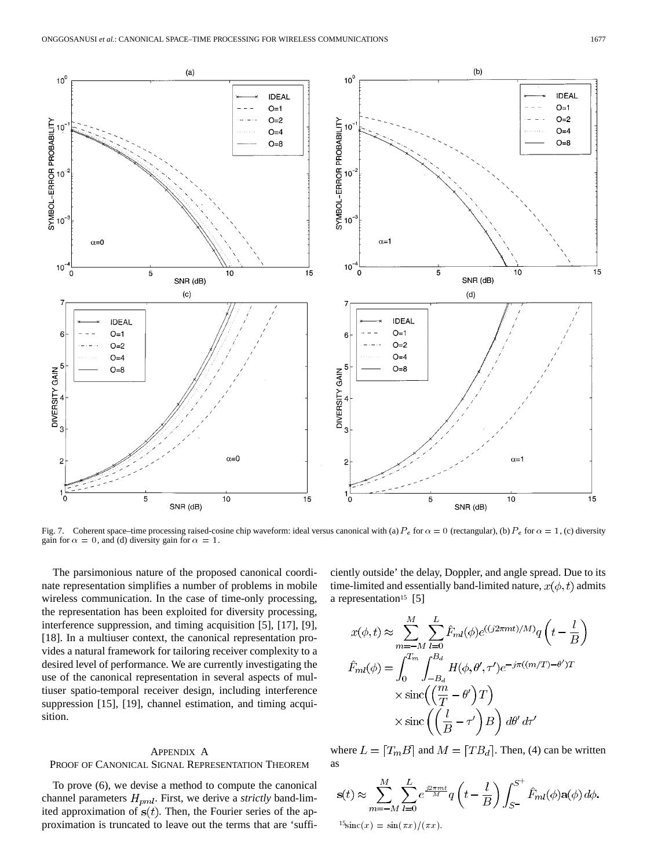

Fig. 7. Coherent space–time processing raised-cosine chip waveform: ideal versus canonical with (a)  $P_e$  for  $\alpha = 0$  (rectangular), (b)  $P_e$  for  $\alpha = 1$ , (c) diversity gain for  $\alpha = 0$ , and (d) diversity gain for  $\alpha = 1$ .

The parsimonious nature of the proposed canonical coordinate representation simplifies a number of problems in mobile wireless communication. In the case of time-only processing, the representation has been exploited for diversity processing, interference suppression, and timing acquisition [5], [17], [9], [18]. In a multiuser context, the canonical representation provides a natural framework for tailoring receiver complexity to a desired level of performance. We are currently investigating the use of the canonical representation in several aspects of multiuser spatio-temporal receiver design, including interference suppression [15], [19], channel estimation, and timing acquisition.

## APPENDIX A

# PROOF OF CANONICAL SIGNAL REPRESENTATION THEOREM

To prove (6), we devise a method to compute the canonical channel parameters  $H_{pml}$ . First, we derive a *strictly* band-limited approximation of  $s(t)$ . Then, the Fourier series of the approximation is truncated to leave out the terms that are 'sufficiently outside' the delay, Doppler, and angle spread. Due to its time-limited and essentially band-limited nature,  $x(\phi, t)$  admits a representation<sup>15</sup> [5]

$$
x(\phi, t) \approx \sum_{m=-M}^{M} \sum_{l=0}^{L} \hat{F}_{ml}(\phi) e^{((j2\pi mt)/M)} q\left(t - \frac{l}{B}\right)
$$
  

$$
\hat{F}_{ml}(\phi) = \int_{0}^{T_m} \int_{-B_d}^{B_d} H(\phi, \theta', \tau') e^{-j\pi((m/T) - \theta')T}
$$
  

$$
\times \operatorname{sinc}\left(\left(\frac{m}{T} - \theta'\right)T\right)
$$
  

$$
\times \operatorname{sinc}\left(\left(\frac{l}{B} - \tau'\right)B\right) d\theta' d\tau'
$$

where  $L = [T_m B]$  and  $M = [T B_d]$ . Then, (4) can be written as

$$
\mathbf{s}(t) \approx \sum_{m=-M}^{M} \sum_{l=0}^{L} e^{\frac{j2\pi mt}{M}} q\left(t - \frac{l}{B}\right) \int_{S^-}^{S^+} \hat{F}_{ml}(\phi) \mathbf{a}(\phi) d\phi.
$$
  
<sup>15</sup>
$$
\sin c(x) = \sin(\pi x) / (\pi x).
$$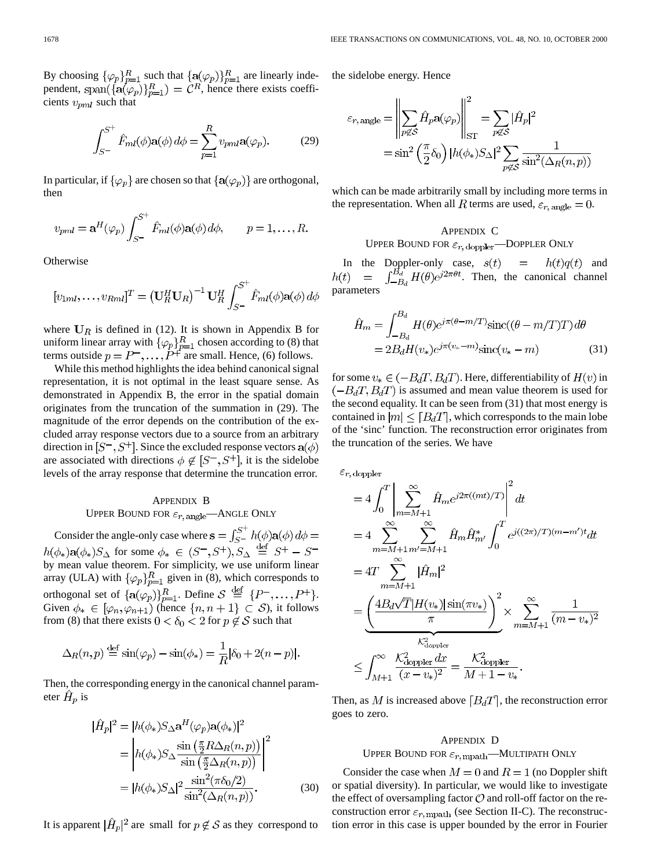By choosing  $\{\varphi_p\}_{p=1}^R$  such that  $\{\mathbf{a}(\varphi_p)\}_{p=1}^R$  are linearly independent, span $({a(\varphi_p)}_{n=1}^R) = \mathcal{C}^R$ , hence there exists coefficients  $v_{pml}$  such that

$$
\int_{S^{-}}^{S^{+}} \hat{F}_{ml}(\phi) \mathbf{a}(\phi) d\phi = \sum_{p=1}^{R} v_{pml} \mathbf{a}(\varphi_p).
$$
 (29)

In particular, if  $\{\varphi_p\}$  are chosen so that  $\{a(\varphi_p)\}\$  are orthogonal, then

$$
v_{pml} = \mathbf{a}^H(\varphi_p) \int_{S^-}^{S^+} \hat{F}_{ml}(\phi) \mathbf{a}(\phi) d\phi, \qquad p = 1, \dots, R.
$$

**Otherwise** 

$$
[v_{1ml},\ldots,v_{Rml}]^T = (\mathbf{U}_R^H \mathbf{U}_R)^{-1} \mathbf{U}_R^H \int_{S^-}^{S^+} \hat{F}_{ml}(\phi) \mathbf{a}(\phi) d\phi
$$

where  $U_R$  is defined in (12). It is shown in Appendix B for uniform linear array with  $\{\varphi_p\}_{p=1}^R$  chosen according to (8) that terms outside  $p = P^-$ ,...,  $P^+$  are small. Hence, (6) follows.

While this method highlights the idea behind canonical signal representation, it is not optimal in the least square sense. As demonstrated in Appendix B, the error in the spatial domain originates from the truncation of the summation in (29). The magnitude of the error depends on the contribution of the excluded array response vectors due to a source from an arbitrary direction in  $[S^-, S^+]$ . Since the excluded response vectors  $a(\phi)$ are associated with directions  $\phi \notin [S^-, S^+]$ , it is the sidelobe levels of the array response that determine the truncation error.

# APPENDIX B UPPER BOUND FOR  $\varepsilon_{r,\,\text{angle}}$ —ANGLE ONLY

Consider the angle-only case where  $\mathbf{s} = \int_{S}^{S^+} h(\phi) \mathbf{a}(\phi) d\phi =$  $h(\phi_*)$ **a** $(\phi_*)$ *S*<sub> $\Delta$ </sub> for some  $\phi_* \in (S^-, S^+)$ ,  $S_{\Delta} \stackrel{\text{def}}{=} S^+ - S^$ by mean value theorem. For simplicity, we use uniform linear array (ULA) with  $\{\varphi_p\}_{p=1}^R$  given in (8), which corresponds to orthogonal set of  $\{\mathbf{a}(\varphi_p)\}_{p=1}^R$ . Define  $S \stackrel{\text{def}}{=} \{P^-, \ldots, P^+\}.$ Given  $\phi_* \in [\varphi_n, \varphi_{n+1})$  (hence  $\{n, n+1\} \subset S$ ), it follows from (8) that there exists  $0 < \delta_0 < 2$  for  $p \not\in S$  such that

$$
\Delta_R(n, p) \stackrel{\text{def}}{=} \sin(\varphi_p) - \sin(\phi_*) = \frac{1}{R} |\delta_0 + 2(n - p)|
$$

Then, the corresponding energy in the canonical channel parameter  $H_p$  is

$$
|\hat{H}_p|^2 = |h(\phi_*)S_\Delta \mathbf{a}^H(\varphi_p)\mathbf{a}(\phi_*)|^2
$$
  
= 
$$
\left| h(\phi_*)S_\Delta \frac{\sin\left(\frac{\pi}{2}R\Delta_R(n,p)\right)}{\sin\left(\frac{\pi}{2}\Delta_R(n,p)\right)} \right|^2
$$
  
= 
$$
|h(\phi_*)S_\Delta|^2 \frac{\sin^2(\pi\delta_0/2)}{\sin^2(\Delta_R(n,p))}.
$$
 (30)

It is apparent  $|\hat{H}_p|^2$  are small for  $p \notin S$  as they correspond to

the sidelobe energy. Hence

$$
\varepsilon_{r,\,\text{angle}} = \left\| \sum_{p \not\in S} \hat{H}_p a(\varphi_p) \right\|_{\text{ST}}^2 = \sum_{p \not\in S} |\hat{H}_p|^2
$$

$$
= \sin^2 \left( \frac{\pi}{2} \delta_0 \right) |h(\phi_*) S_\Delta|^2 \sum_{p \not\in S} \frac{1}{\sin^2(\Delta_R(n, p))}
$$

which can be made arbitrarily small by including more terms in the representation. When all R terms are used,  $\varepsilon_{r,\text{angle}} = 0$ .

## APPENDIX C

UPPER BOUND FOR  $\varepsilon_{r,\text{doppler}}$ —DOPPLER ONLY

In the Doppler-only case,  $s(t) = h(t)q(t)$  and . Then, the canonical channel parameters

$$
\hat{H}_m = \int_{-B_d}^{B_d} H(\theta) e^{j\pi(\theta - m/T)} \text{sinc}((\theta - m/T)T) d\theta
$$

$$
= 2B_d H(v_*) e^{j\pi(v_* - m)} \text{sinc}(v_* - m)
$$
(31)

for some  $v_* \in (-B_dT, B_dT)$ . Here, differentiability of  $H(v)$  in  $\left(-B_dT, B_dT\right)$  is assumed and mean value theorem is used for the second equality. It can be seen from (31) that most energy is contained in  $|m| \leq [B_dT]$ , which corresponds to the main lobe of the 'sinc' function. The reconstruction error originates from the truncation of the series. We have

 $\varepsilon_{r,\,\text{doppler}}$ 

$$
=4\int_0^T \left| \sum_{m=M+1}^{\infty} \hat{H}_m e^{j2\pi((mt)/T)} \right|^2 dt
$$
  
\n
$$
=4\sum_{m=M+1}^{\infty} \sum_{m'=M+1}^{\infty} \hat{H}_m \hat{H}_{m'}^* \int_0^T e^{j((2\pi)/T)(m-m')t} dt
$$
  
\n
$$
=4T \sum_{m=M+1}^{\infty} |\hat{H}_m|^2
$$
  
\n
$$
= \underbrace{\left(\frac{4B_d\sqrt{T}|H(v_*)|\sin(\pi v_*)}{\pi}\right)^2}_{\text{$K_{\text{doppler}}^2$}} \times \sum_{m=M+1}^{\infty} \frac{1}{(m-v_*)^2}
$$
  
\n
$$
\leq \int_{M+1}^{\infty} \frac{K_{\text{doppler}}^2 dx}{(x-v_*)^2} = \frac{K_{\text{doppler}}^2}{M+1-v_*}.
$$

Then, as M is increased above  $[B_dT]$ , the reconstruction error goes to zero.

## APPENDIX D

## UPPER BOUND FOR  $\varepsilon_{r,\,\text{mpath}}$ —MULTIPATH ONLY

Consider the case when  $M = 0$  and  $R = 1$  (no Doppler shift or spatial diversity). In particular, we would like to investigate the effect of oversampling factor  $\mathcal O$  and roll-off factor on the reconstruction error  $\varepsilon_{r,\text{mpath}}$  (see Section II-C). The reconstruction error in this case is upper bounded by the error in Fourier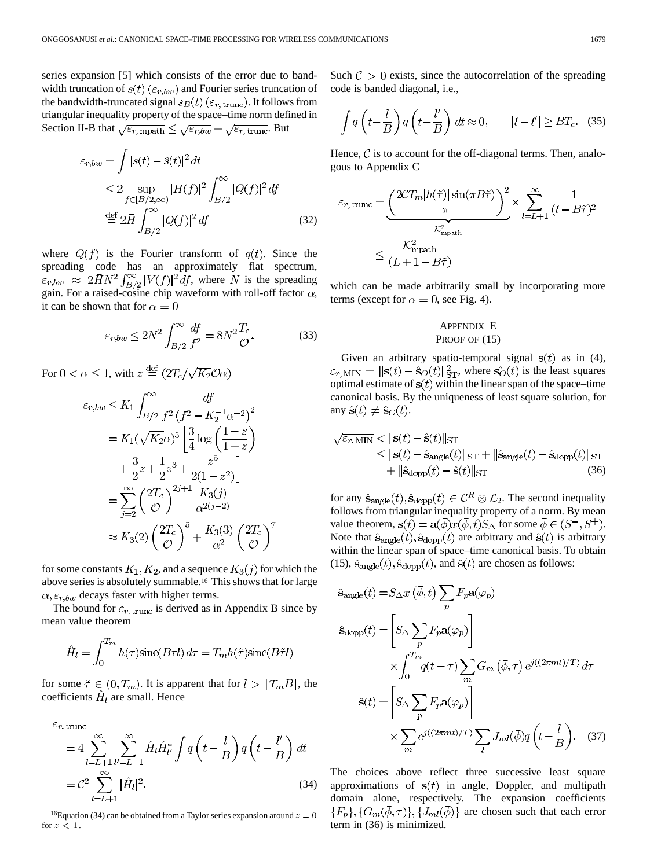series expansion [5] which consists of the error due to bandwidth truncation of  $s(t)$  ( $\varepsilon_{r,bw}$ ) and Fourier series truncation of the bandwidth-truncated signal  $s_B(t)$  ( $\varepsilon_{r,\text{trunc}}$ ). It follows from triangular inequality property of the space–time norm defined in Section II-B that  $\sqrt{\varepsilon_{r,\text{mpath}}}\leq \sqrt{\varepsilon_{r,bw}}+\sqrt{\varepsilon_{r,\text{trunc}}}.$  But

$$
\varepsilon_{r,bw} = \int |s(t) - \hat{s}(t)|^2 dt
$$
  
\n
$$
\leq 2 \sup_{f \in [B/2,\infty)} |H(f)|^2 \int_{B/2}^{\infty} |Q(f)|^2 df
$$
  
\n
$$
\stackrel{\text{def}}{=} 2\bar{H} \int_{B/2}^{\infty} |Q(f)|^2 df
$$
 (32)

where  $Q(f)$  is the Fourier transform of  $q(t)$ . Since the spreading code has an approximately flat spectrum,  $\epsilon_{r,bw} \approx 2\bar{H}N^2 \int_{B/2}^{\infty} |V(f)|^2 df$ , where N is the spreading gain. For a raised-cosine chip waveform with roll-off factor  $\alpha$ , it can be shown that for  $\alpha = 0$ 

$$
\varepsilon_{r,bw} \le 2N^2 \int_{B/2}^{\infty} \frac{df}{f^2} = 8N^2 \frac{T_c}{\mathcal{O}}.
$$
 (33)

For  $0 < \alpha \leq 1$ , with  $z \stackrel{\text{def}}{=} (2T_c/\sqrt{K_2}\mathcal{O}\alpha)$ 

$$
\varepsilon_{r,bw} \le K_1 \int_{B/2}^{\infty} \frac{df}{f^2 (f^2 - K_2^{-1} \alpha^{-2})^2}
$$
  
=  $K_1(\sqrt{K_2 \alpha})^5 \left[ \frac{3}{4} \log \left( \frac{1 - z}{1 + z} \right) + \frac{3}{2} z + \frac{1}{2} z^3 + \frac{z^5}{2(1 - z^2)} \right]$   
=  $\sum_{j=2}^{\infty} \left( \frac{2T_c}{\sigma} \right)^{2j+1} \frac{K_3(j)}{\alpha^{2(j-2)}}$   
 $\approx K_3(2) \left( \frac{2T_c}{\sigma} \right)^5 + \frac{K_3(3)}{\alpha^2} \left( \frac{2T_c}{\sigma} \right)^7$ 

for some constants  $K_1, K_2$ , and a sequence  $K_3(j)$  for which the above series is absolutely summable.16 This shows that for large  $\alpha$ ,  $\varepsilon$ <sub>r</sub>, $_{bw}$  decays faster with higher terms.

The bound for  $\varepsilon_{r,\text{trunc}}$  is derived as in Appendix B since by mean value theorem

$$
\hat{H}_l = \int_0^{T_m} h(\tau) \text{sinc}(B\tau l) d\tau = T_m h(\tilde{\tau}) \text{sinc}(B\tilde{\tau} l)
$$

for some  $\tilde{\tau} \in (0, T_m)$ . It is apparent that for  $l > [T_m B]$ , the coefficients  $\hat{H}_l$  are small. Hence

$$
\varepsilon_{r,\,\text{trunc}} = 4 \sum_{l=L+1}^{\infty} \sum_{l'=L+1}^{\infty} \hat{H}_l \hat{H}_{l'}^* \int q\left(t - \frac{l}{B}\right) q\left(t - \frac{l'}{B}\right) dt
$$

$$
= C^2 \sum_{l=L+1}^{\infty} |\hat{H}_l|^2.
$$
(34)

<sup>16</sup>Equation (34) can be obtained from a Taylor series expansion around  $z = 0$ for  $z < 1$ .

Such  $\mathcal{C} > 0$  exists, since the autocorrelation of the spreading code is banded diagonal, i.e.,

$$
\int q\left(t - \frac{l}{B}\right) q\left(t - \frac{l'}{B}\right) dt \approx 0, \qquad |l - l'| \ge BT_{c}. \quad (35)
$$

Hence,  $\mathcal C$  is to account for the off-diagonal terms. Then, analogous to Appendix C

$$
\varepsilon_{r, \text{trunc}} = \underbrace{\left(\frac{2CT_m|h(\tilde{\tau})|\sin(\pi B\tilde{\tau})}{\pi}\right)^2}_{\mathcal{K}^2_{\text{mpath}}} \times \underbrace{\sum_{l=L+1}^{\infty} \frac{1}{(l - B\tilde{\tau})^2}}_{\mathcal{L} = L+1}
$$
\n
$$
\leq \frac{\mathcal{K}^2_{\text{mpath}}}{(L+1-B\tilde{\tau})}
$$

which can be made arbitrarily small by incorporating more terms (except for  $\alpha = 0$ , see Fig. 4).

# APPENDIX E PROOF OF  $(15)$

Given an arbitrary spatio-temporal signal  $s(t)$  as in (4),  $\varepsilon_{r, \text{MIN}} = ||\mathbf{s}(t) - \hat{\mathbf{s}}_O(t)||_{\text{ST}}^2$ , where  $\hat{\mathbf{s}_O}(t)$  is the least squares optimal estimate of  $s(t)$  within the linear span of the space–time canonical basis. By the uniqueness of least square solution, for any  $\hat{\mathbf{s}}(t) \neq \hat{\mathbf{s}}_O(t)$ .

$$
\sqrt{\varepsilon_{r,\text{MIN}}} < ||\mathbf{s}(t) - \hat{\mathbf{s}}(t)||_{\text{ST}} \n\leq ||\mathbf{s}(t) - \hat{\mathbf{s}}_{\text{angle}}(t)||_{\text{ST}} + ||\hat{\mathbf{s}}_{\text{angle}}(t) - \hat{\mathbf{s}}_{\text{dopp}}(t)||_{\text{ST}} \n+ ||\hat{\mathbf{s}}_{\text{dopp}}(t) - \hat{\mathbf{s}}(t)||_{\text{ST}} \n\tag{36}
$$

for any  $\hat{\mathbf{s}}_{\text{angle}}(t), \hat{\mathbf{s}}_{\text{dopp}}(t) \in \mathcal{C}^R \otimes \mathcal{L}_2$ . The second inequality follows from triangular inequality property of a norm. By mean value theorem,  $\mathbf{s}(t) = \mathbf{a}(\overline{\phi})x(\overline{\phi}, t)S_{\Delta}$  for some  $\overline{\phi} \in (S^-, S^+)$ . Note that  $\hat{\mathbf{s}}_{\text{angle}}(t), \hat{\mathbf{s}}_{\text{dopp}}(t)$  are arbitrary and  $\hat{\mathbf{s}}(t)$  is arbitrary within the linear span of space–time canonical basis. To obtain (15),  $\hat{\mathbf{s}}_{\text{angle}}(t)$ ,  $\hat{\mathbf{s}}_{\text{dopp}}(t)$ , and  $\hat{\mathbf{s}}(t)$  are chosen as follows:

$$
\hat{\mathbf{s}}_{\text{angle}}(t) = S_{\Delta}x \left(\bar{\phi}, t\right) \sum_{p} F_{p} \mathbf{a}(\varphi_{p})
$$
\n
$$
\hat{\mathbf{s}}_{\text{dopp}}(t) = \left[ S_{\Delta} \sum_{p} F_{p} \mathbf{a}(\varphi_{p}) \right]
$$
\n
$$
\times \int_{0}^{T_{m}} q(t - \tau) \sum_{m} G_{m} \left(\bar{\phi}, \tau\right) e^{j((2\pi mt)/T)} d\tau
$$
\n
$$
\hat{\mathbf{s}}(t) = \left[ S_{\Delta} \sum_{p} F_{p} \mathbf{a}(\varphi_{p}) \right]
$$
\n
$$
\times \sum_{m} e^{j((2\pi mt)/T)} \sum_{l} J_{ml}(\bar{\phi}) q \left(t - \frac{l}{B}\right). \quad (37)
$$

The choices above reflect three successive least square approximations of  $s(t)$  in angle, Doppler, and multipath domain alone, respectively. The expansion coefficients  ${F_n}, {G_m(\phi, \tau)}, {J_{ml}(\phi)}$  are chosen such that each error term in (36) is minimized.